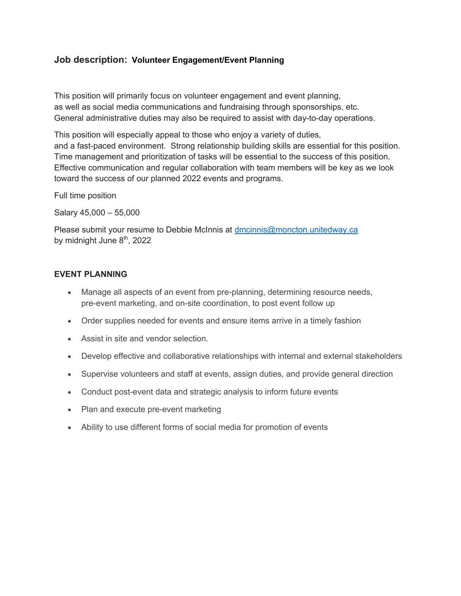## **Job description: Volunteer Engagement/Event Planning**

This position will primarily focus on volunteer engagement and event planning, as well as social media communications and fundraising through sponsorships, etc. General administrative duties may also be required to assist with day-to-day operations.

This position will especially appeal to those who enjoy a variety of duties, and a fast-paced environment. Strong relationship building skills are essential for this position. Time management and prioritization of tasks will be essential to the success of this position. Effective communication and regular collaboration with team members will be key as we look toward the success of our planned 2022 events and programs.

Full time position

Salary 45,000 – 55,000

Please submit your resume to Debbie McInnis at dmcinnis@moncton.unitedway.ca by midnight June 8<sup>th</sup>, 2022

## **EVENT PLANNING**

- Manage all aspects of an event from pre-planning, determining resource needs, pre-event marketing, and on-site coordination, to post event follow up
- Order supplies needed for events and ensure items arrive in a timely fashion
- Assist in site and vendor selection.
- Develop effective and collaborative relationships with internal and external stakeholders
- Supervise volunteers and staff at events, assign duties, and provide general direction
- Conduct post-event data and strategic analysis to inform future events
- Plan and execute pre-event marketing
- Ability to use different forms of social media for promotion of events